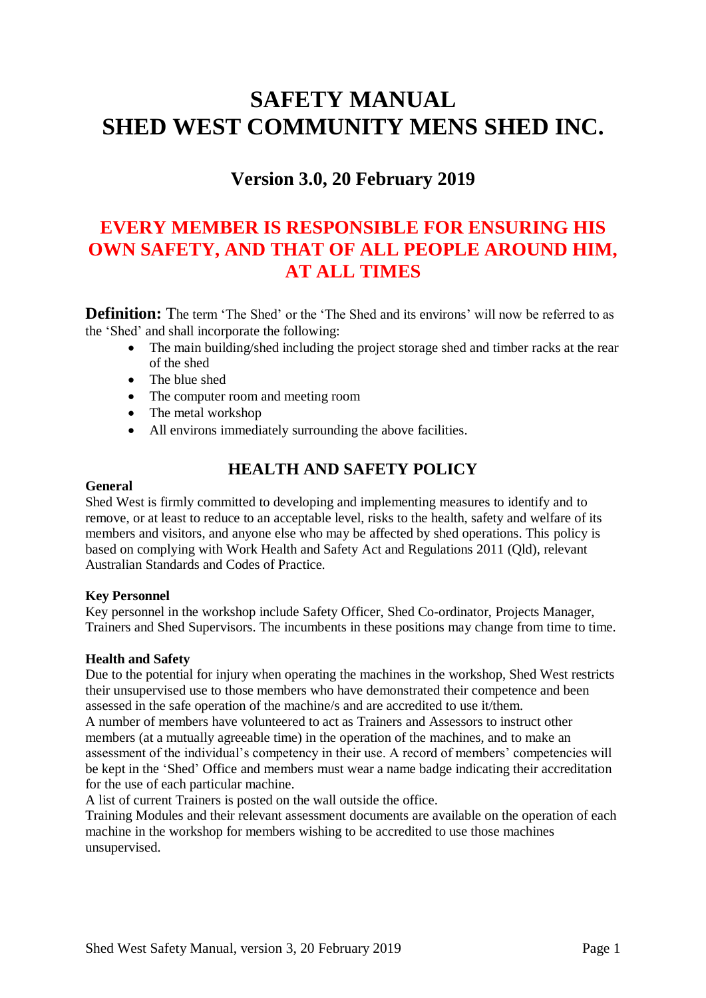# **SAFETY MANUAL SHED WEST COMMUNITY MENS SHED INC.**

# **Version 3.0, 20 February 2019**

# **EVERY MEMBER IS RESPONSIBLE FOR ENSURING HIS OWN SAFETY, AND THAT OF ALL PEOPLE AROUND HIM, AT ALL TIMES**

**Definition:** The term 'The Shed' or the 'The Shed and its environs' will now be referred to as the 'Shed' and shall incorporate the following:

- The main building/shed including the project storage shed and timber racks at the rear of the shed
- The blue shed
- The computer room and meeting room
- The metal workshop
- All environs immediately surrounding the above facilities.

# **HEALTH AND SAFETY POLICY**

#### **General**

Shed West is firmly committed to developing and implementing measures to identify and to remove, or at least to reduce to an acceptable level, risks to the health, safety and welfare of its members and visitors, and anyone else who may be affected by shed operations. This policy is based on complying with Work Health and Safety Act and Regulations 2011 (Qld), relevant Australian Standards and Codes of Practice.

#### **Key Personnel**

Key personnel in the workshop include Safety Officer, Shed Co-ordinator, Projects Manager, Trainers and Shed Supervisors. The incumbents in these positions may change from time to time.

#### **Health and Safety**

Due to the potential for injury when operating the machines in the workshop, Shed West restricts their unsupervised use to those members who have demonstrated their competence and been assessed in the safe operation of the machine/s and are accredited to use it/them.

A number of members have volunteered to act as Trainers and Assessors to instruct other members (at a mutually agreeable time) in the operation of the machines, and to make an assessment of the individual's competency in their use. A record of members' competencies will be kept in the 'Shed' Office and members must wear a name badge indicating their accreditation for the use of each particular machine.

A list of current Trainers is posted on the wall outside the office.

Training Modules and their relevant assessment documents are available on the operation of each machine in the workshop for members wishing to be accredited to use those machines unsupervised.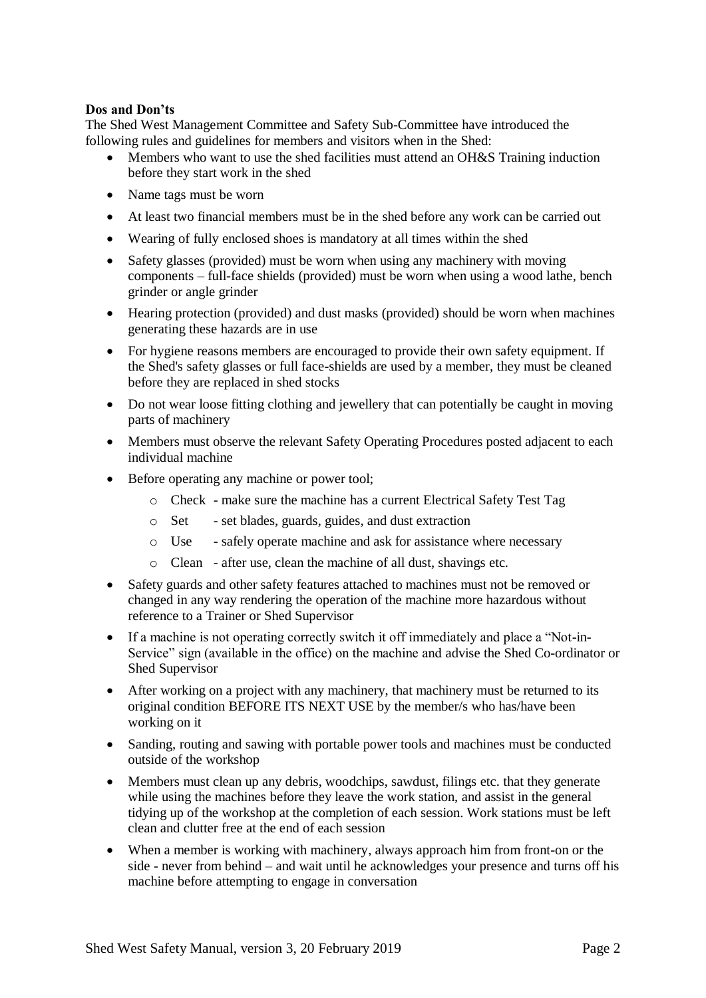#### **Dos and Don'ts**

The Shed West Management Committee and Safety Sub-Committee have introduced the following rules and guidelines for members and visitors when in the Shed:

- Members who want to use the shed facilities must attend an OH&S Training induction before they start work in the shed
- Name tags must be worn
- At least two financial members must be in the shed before any work can be carried out
- Wearing of fully enclosed shoes is mandatory at all times within the shed
- Safety glasses (provided) must be worn when using any machinery with moving components – full-face shields (provided) must be worn when using a wood lathe, bench grinder or angle grinder
- Hearing protection (provided) and dust masks (provided) should be worn when machines generating these hazards are in use
- For hygiene reasons members are encouraged to provide their own safety equipment. If the Shed's safety glasses or full face-shields are used by a member, they must be cleaned before they are replaced in shed stocks
- Do not wear loose fitting clothing and jewellery that can potentially be caught in moving parts of machinery
- Members must observe the relevant Safety Operating Procedures posted adjacent to each individual machine
- Before operating any machine or power tool;
	- o Check make sure the machine has a current Electrical Safety Test Tag
	- o Set set blades, guards, guides, and dust extraction
	- o Use safely operate machine and ask for assistance where necessary
	- o Clean after use, clean the machine of all dust, shavings etc.
- Safety guards and other safety features attached to machines must not be removed or changed in any way rendering the operation of the machine more hazardous without reference to a Trainer or Shed Supervisor
- If a machine is not operating correctly switch it off immediately and place a "Not-in-Service" sign (available in the office) on the machine and advise the Shed Co-ordinator or Shed Supervisor
- After working on a project with any machinery, that machinery must be returned to its original condition BEFORE ITS NEXT USE by the member/s who has/have been working on it
- Sanding, routing and sawing with portable power tools and machines must be conducted outside of the workshop
- Members must clean up any debris, woodchips, sawdust, filings etc. that they generate while using the machines before they leave the work station, and assist in the general tidying up of the workshop at the completion of each session. Work stations must be left clean and clutter free at the end of each session
- When a member is working with machinery, always approach him from front-on or the side - never from behind – and wait until he acknowledges your presence and turns off his machine before attempting to engage in conversation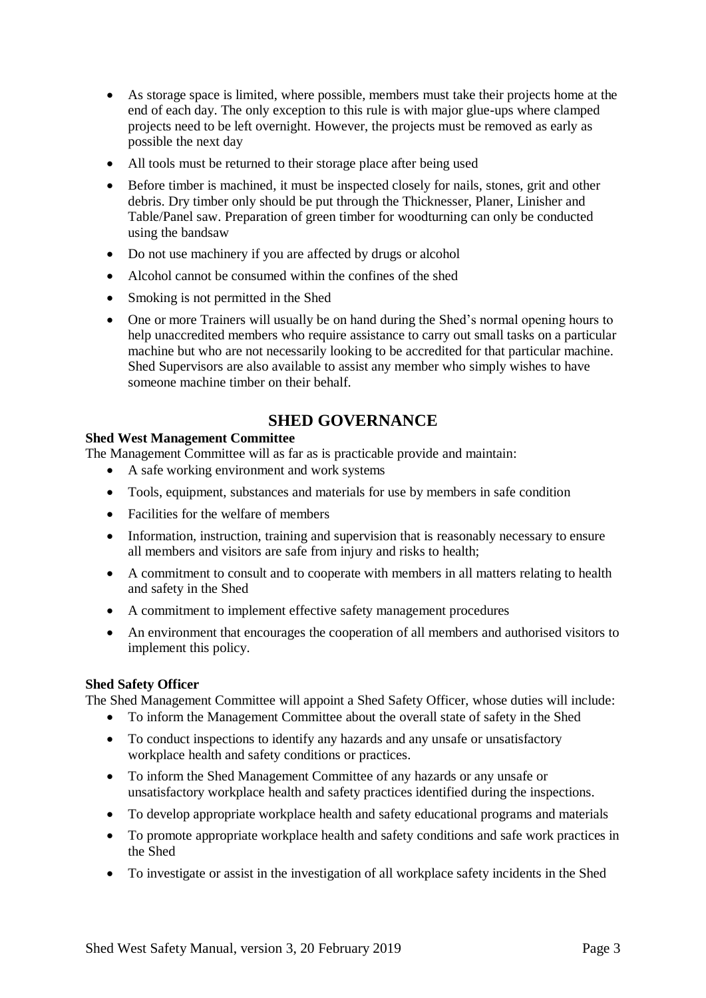- As storage space is limited, where possible, members must take their projects home at the end of each day. The only exception to this rule is with major glue-ups where clamped projects need to be left overnight. However, the projects must be removed as early as possible the next day
- All tools must be returned to their storage place after being used
- Before timber is machined, it must be inspected closely for nails, stones, grit and other debris. Dry timber only should be put through the Thicknesser, Planer, Linisher and Table/Panel saw. Preparation of green timber for woodturning can only be conducted using the bandsaw
- Do not use machinery if you are affected by drugs or alcohol
- Alcohol cannot be consumed within the confines of the shed
- Smoking is not permitted in the Shed
- One or more Trainers will usually be on hand during the Shed's normal opening hours to help unaccredited members who require assistance to carry out small tasks on a particular machine but who are not necessarily looking to be accredited for that particular machine. Shed Supervisors are also available to assist any member who simply wishes to have someone machine timber on their behalf.

### **SHED GOVERNANCE**

#### **Shed West Management Committee**

The Management Committee will as far as is practicable provide and maintain:

- A safe working environment and work systems
- Tools, equipment, substances and materials for use by members in safe condition
- Facilities for the welfare of members
- Information, instruction, training and supervision that is reasonably necessary to ensure all members and visitors are safe from injury and risks to health;
- A commitment to consult and to cooperate with members in all matters relating to health and safety in the Shed
- A commitment to implement effective safety management procedures
- An environment that encourages the cooperation of all members and authorised visitors to implement this policy.

#### **Shed Safety Officer**

The Shed Management Committee will appoint a Shed Safety Officer, whose duties will include:

- To inform the Management Committee about the overall state of safety in the Shed
- To conduct inspections to identify any hazards and any unsafe or unsatisfactory workplace health and safety conditions or practices.
- To inform the Shed Management Committee of any hazards or any unsafe or unsatisfactory workplace health and safety practices identified during the inspections.
- To develop appropriate workplace health and safety educational programs and materials
- To promote appropriate workplace health and safety conditions and safe work practices in the Shed
- To investigate or assist in the investigation of all workplace safety incidents in the Shed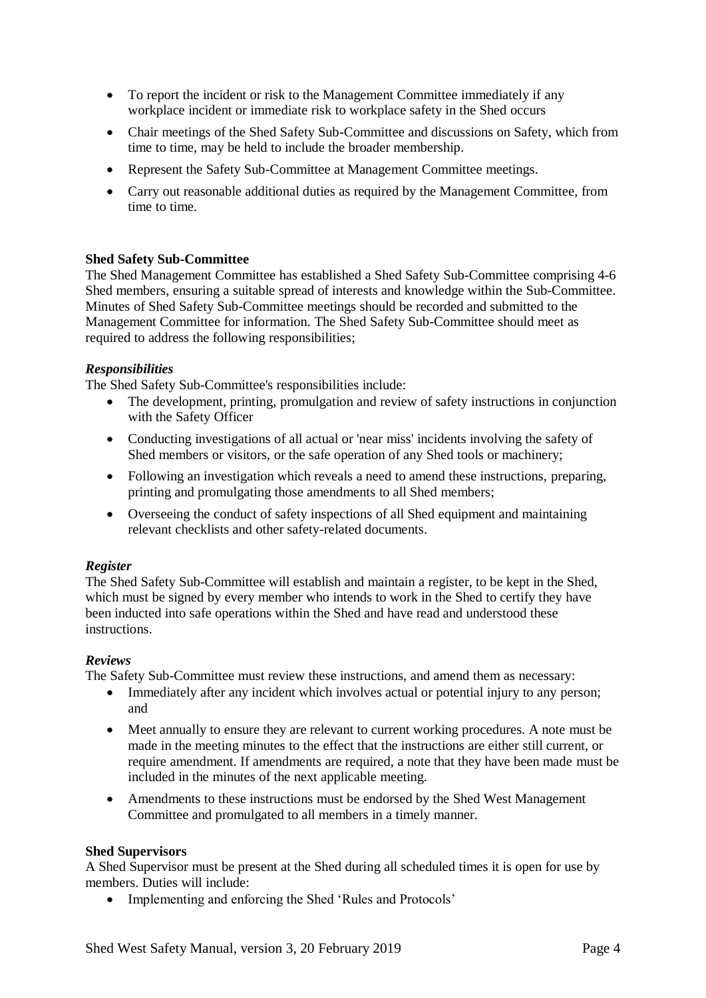- To report the incident or risk to the Management Committee immediately if any workplace incident or immediate risk to workplace safety in the Shed occurs
- Chair meetings of the Shed Safety Sub-Committee and discussions on Safety, which from time to time, may be held to include the broader membership.
- Represent the Safety Sub-Committee at Management Committee meetings.
- Carry out reasonable additional duties as required by the Management Committee, from time to time.

#### **Shed Safety Sub-Committee**

The Shed Management Committee has established a Shed Safety Sub-Committee comprising 4-6 Shed members, ensuring a suitable spread of interests and knowledge within the Sub-Committee. Minutes of Shed Safety Sub-Committee meetings should be recorded and submitted to the Management Committee for information. The Shed Safety Sub-Committee should meet as required to address the following responsibilities;

#### *Responsibilities*

The Shed Safety Sub-Committee's responsibilities include:

- The development, printing, promulgation and review of safety instructions in conjunction with the Safety Officer
- Conducting investigations of all actual or 'near miss' incidents involving the safety of Shed members or visitors, or the safe operation of any Shed tools or machinery;
- Following an investigation which reveals a need to amend these instructions, preparing, printing and promulgating those amendments to all Shed members;
- Overseeing the conduct of safety inspections of all Shed equipment and maintaining relevant checklists and other safety-related documents.

#### *Register*

The Shed Safety Sub-Committee will establish and maintain a register, to be kept in the Shed, which must be signed by every member who intends to work in the Shed to certify they have been inducted into safe operations within the Shed and have read and understood these instructions.

#### *Reviews*

The Safety Sub-Committee must review these instructions, and amend them as necessary:

- Immediately after any incident which involves actual or potential injury to any person; and
- Meet annually to ensure they are relevant to current working procedures. A note must be made in the meeting minutes to the effect that the instructions are either still current, or require amendment. If amendments are required, a note that they have been made must be included in the minutes of the next applicable meeting.
- Amendments to these instructions must be endorsed by the Shed West Management Committee and promulgated to all members in a timely manner.

#### **Shed Supervisors**

A Shed Supervisor must be present at the Shed during all scheduled times it is open for use by members. Duties will include:

• Implementing and enforcing the Shed 'Rules and Protocols'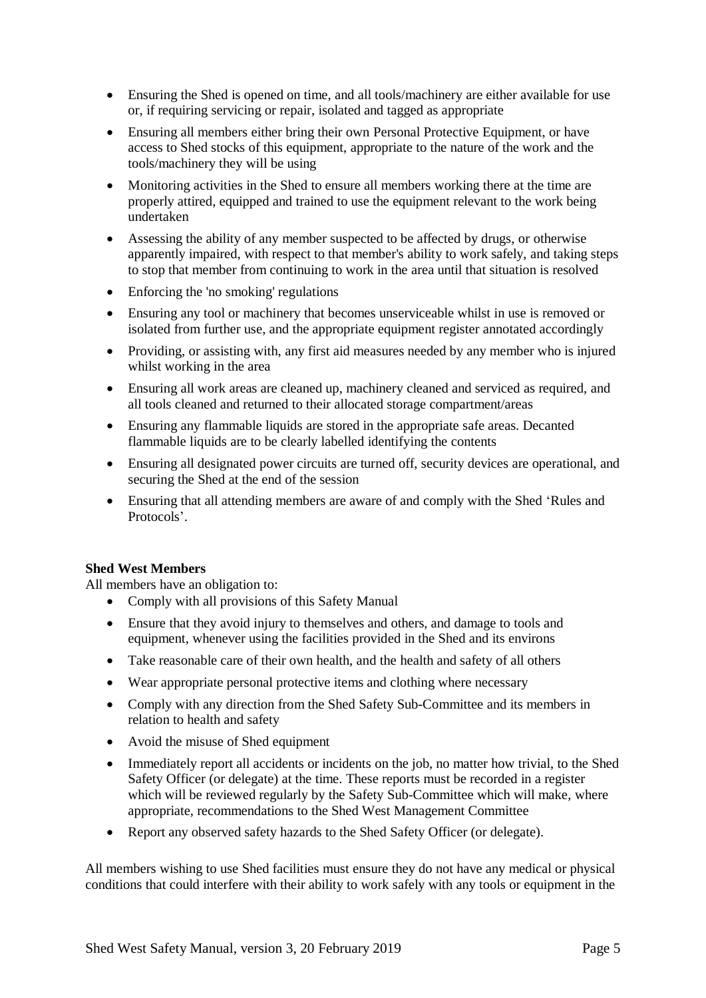- Ensuring the Shed is opened on time, and all tools/machinery are either available for use or, if requiring servicing or repair, isolated and tagged as appropriate
- Ensuring all members either bring their own Personal Protective Equipment, or have access to Shed stocks of this equipment, appropriate to the nature of the work and the tools/machinery they will be using
- Monitoring activities in the Shed to ensure all members working there at the time are properly attired, equipped and trained to use the equipment relevant to the work being undertaken
- Assessing the ability of any member suspected to be affected by drugs, or otherwise apparently impaired, with respect to that member's ability to work safely, and taking steps to stop that member from continuing to work in the area until that situation is resolved
- Enforcing the 'no smoking' regulations
- Ensuring any tool or machinery that becomes unserviceable whilst in use is removed or isolated from further use, and the appropriate equipment register annotated accordingly
- Providing, or assisting with, any first aid measures needed by any member who is injured whilst working in the area
- Ensuring all work areas are cleaned up, machinery cleaned and serviced as required, and all tools cleaned and returned to their allocated storage compartment/areas
- Ensuring any flammable liquids are stored in the appropriate safe areas. Decanted flammable liquids are to be clearly labelled identifying the contents
- Ensuring all designated power circuits are turned off, security devices are operational, and securing the Shed at the end of the session
- Ensuring that all attending members are aware of and comply with the Shed 'Rules and Protocols'.

#### **Shed West Members**

All members have an obligation to:

- Comply with all provisions of this Safety Manual
- Ensure that they avoid injury to themselves and others, and damage to tools and equipment, whenever using the facilities provided in the Shed and its environs
- Take reasonable care of their own health, and the health and safety of all others
- Wear appropriate personal protective items and clothing where necessary
- Comply with any direction from the Shed Safety Sub-Committee and its members in relation to health and safety
- Avoid the misuse of Shed equipment
- Immediately report all accidents or incidents on the job, no matter how trivial, to the Shed Safety Officer (or delegate) at the time. These reports must be recorded in a register which will be reviewed regularly by the Safety Sub-Committee which will make, where appropriate, recommendations to the Shed West Management Committee
- Report any observed safety hazards to the Shed Safety Officer (or delegate).

All members wishing to use Shed facilities must ensure they do not have any medical or physical conditions that could interfere with their ability to work safely with any tools or equipment in the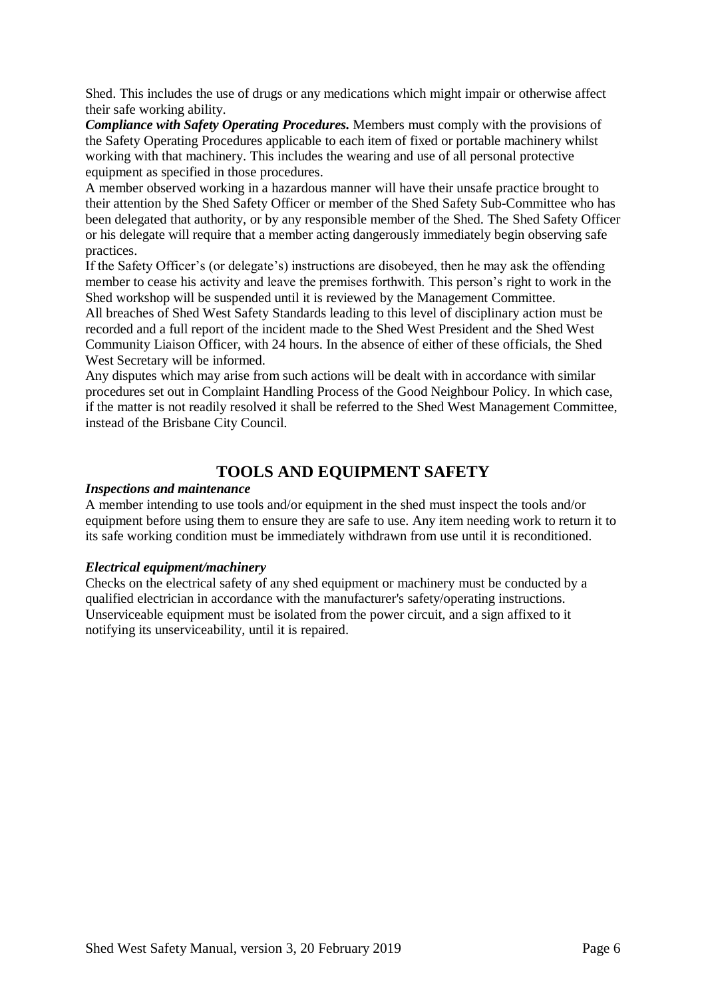Shed. This includes the use of drugs or any medications which might impair or otherwise affect their safe working ability.

*Compliance with Safety Operating Procedures.* Members must comply with the provisions of the Safety Operating Procedures applicable to each item of fixed or portable machinery whilst working with that machinery. This includes the wearing and use of all personal protective equipment as specified in those procedures.

A member observed working in a hazardous manner will have their unsafe practice brought to their attention by the Shed Safety Officer or member of the Shed Safety Sub-Committee who has been delegated that authority, or by any responsible member of the Shed. The Shed Safety Officer or his delegate will require that a member acting dangerously immediately begin observing safe practices.

If the Safety Officer's (or delegate's) instructions are disobeyed, then he may ask the offending member to cease his activity and leave the premises forthwith. This person's right to work in the Shed workshop will be suspended until it is reviewed by the Management Committee.

All breaches of Shed West Safety Standards leading to this level of disciplinary action must be recorded and a full report of the incident made to the Shed West President and the Shed West Community Liaison Officer, with 24 hours. In the absence of either of these officials, the Shed West Secretary will be informed.

Any disputes which may arise from such actions will be dealt with in accordance with similar procedures set out in Complaint Handling Process of the Good Neighbour Policy. In which case, if the matter is not readily resolved it shall be referred to the Shed West Management Committee, instead of the Brisbane City Council.

# **TOOLS AND EQUIPMENT SAFETY**

#### *Inspections and maintenance*

A member intending to use tools and/or equipment in the shed must inspect the tools and/or equipment before using them to ensure they are safe to use. Any item needing work to return it to its safe working condition must be immediately withdrawn from use until it is reconditioned.

#### *Electrical equipment/machinery*

Checks on the electrical safety of any shed equipment or machinery must be conducted by a qualified electrician in accordance with the manufacturer's safety/operating instructions. Unserviceable equipment must be isolated from the power circuit, and a sign affixed to it notifying its unserviceability, until it is repaired.